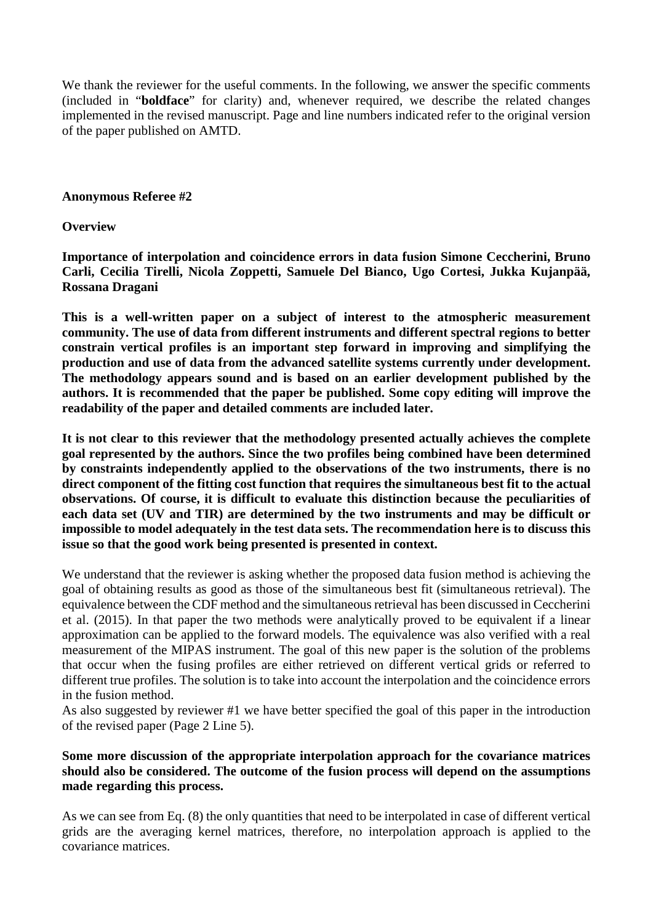We thank the reviewer for the useful comments. In the following, we answer the specific comments (included in "**boldface**" for clarity) and, whenever required, we describe the related changes implemented in the revised manuscript. Page and line numbers indicated refer to the original version of the paper published on AMTD.

#### **Anonymous Referee #2**

#### **Overview**

**Importance of interpolation and coincidence errors in data fusion Simone Ceccherini, Bruno Carli, Cecilia Tirelli, Nicola Zoppetti, Samuele Del Bianco, Ugo Cortesi, Jukka Kujanpää, Rossana Dragani**

**This is a well-written paper on a subject of interest to the atmospheric measurement community. The use of data from different instruments and different spectral regions to better constrain vertical profiles is an important step forward in improving and simplifying the production and use of data from the advanced satellite systems currently under development. The methodology appears sound and is based on an earlier development published by the authors. It is recommended that the paper be published. Some copy editing will improve the readability of the paper and detailed comments are included later.**

**It is not clear to this reviewer that the methodology presented actually achieves the complete goal represented by the authors. Since the two profiles being combined have been determined by constraints independently applied to the observations of the two instruments, there is no direct component of the fitting cost function that requires the simultaneous best fit to the actual observations. Of course, it is difficult to evaluate this distinction because the peculiarities of each data set (UV and TIR) are determined by the two instruments and may be difficult or impossible to model adequately in the test data sets. The recommendation here is to discuss this issue so that the good work being presented is presented in context.**

We understand that the reviewer is asking whether the proposed data fusion method is achieving the goal of obtaining results as good as those of the simultaneous best fit (simultaneous retrieval). The equivalence between the CDF method and the simultaneous retrieval has been discussed in Ceccherini et al. (2015). In that paper the two methods were analytically proved to be equivalent if a linear approximation can be applied to the forward models. The equivalence was also verified with a real measurement of the MIPAS instrument. The goal of this new paper is the solution of the problems that occur when the fusing profiles are either retrieved on different vertical grids or referred to different true profiles. The solution is to take into account the interpolation and the coincidence errors in the fusion method.

As also suggested by reviewer #1 we have better specified the goal of this paper in the introduction of the revised paper (Page 2 Line 5).

#### **Some more discussion of the appropriate interpolation approach for the covariance matrices should also be considered. The outcome of the fusion process will depend on the assumptions made regarding this process.**

As we can see from Eq. (8) the only quantities that need to be interpolated in case of different vertical grids are the averaging kernel matrices, therefore, no interpolation approach is applied to the covariance matrices.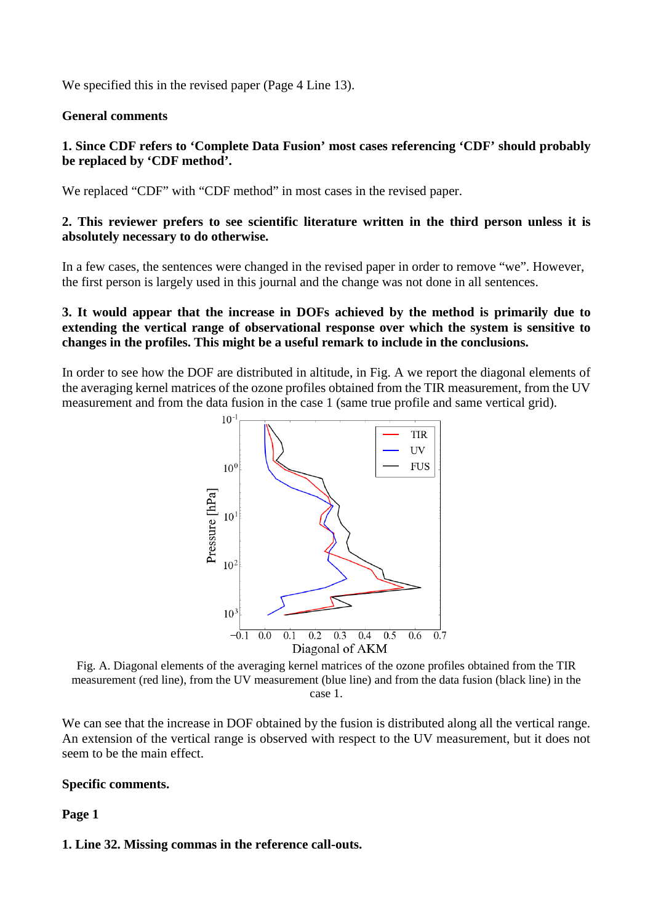We specified this in the revised paper (Page 4 Line 13).

#### **General comments**

#### **1. Since CDF refers to 'Complete Data Fusion' most cases referencing 'CDF' should probably be replaced by 'CDF method'.**

We replaced "CDF" with "CDF method" in most cases in the revised paper.

#### **2. This reviewer prefers to see scientific literature written in the third person unless it is absolutely necessary to do otherwise.**

In a few cases, the sentences were changed in the revised paper in order to remove "we". However, the first person is largely used in this journal and the change was not done in all sentences.

#### **3. It would appear that the increase in DOFs achieved by the method is primarily due to extending the vertical range of observational response over which the system is sensitive to changes in the profiles. This might be a useful remark to include in the conclusions.**

In order to see how the DOF are distributed in altitude, in Fig. A we report the diagonal elements of the averaging kernel matrices of the ozone profiles obtained from the TIR measurement, from the UV measurement and from the data fusion in the case 1 (same true profile and same vertical grid).



Fig. A. Diagonal elements of the averaging kernel matrices of the ozone profiles obtained from the TIR measurement (red line), from the UV measurement (blue line) and from the data fusion (black line) in the case 1.

We can see that the increase in DOF obtained by the fusion is distributed along all the vertical range. An extension of the vertical range is observed with respect to the UV measurement, but it does not seem to be the main effect.

#### **Specific comments.**

#### **Page 1**

# **1. Line 32. Missing commas in the reference call-outs.**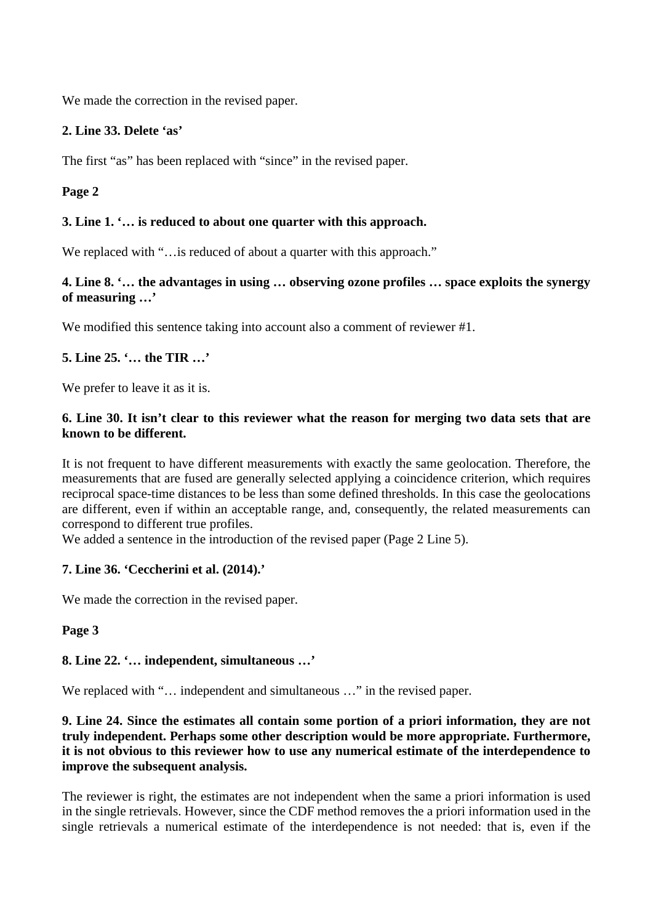We made the correction in the revised paper.

## **2. Line 33. Delete 'as'**

The first "as" has been replaced with "since" in the revised paper.

# **Page 2**

## **3. Line 1. '… is reduced to about one quarter with this approach.**

We replaced with "... is reduced of about a quarter with this approach."

#### **4. Line 8. '… the advantages in using … observing ozone profiles … space exploits the synergy of measuring …'**

We modified this sentence taking into account also a comment of reviewer #1.

# **5. Line 25. '… the TIR …'**

We prefer to leave it as it is.

## **6. Line 30. It isn't clear to this reviewer what the reason for merging two data sets that are known to be different.**

It is not frequent to have different measurements with exactly the same geolocation. Therefore, the measurements that are fused are generally selected applying a coincidence criterion, which requires reciprocal space-time distances to be less than some defined thresholds. In this case the geolocations are different, even if within an acceptable range, and, consequently, the related measurements can correspond to different true profiles.

We added a sentence in the introduction of the revised paper (Page 2 Line 5).

#### **7. Line 36. 'Ceccherini et al. (2014).'**

We made the correction in the revised paper.

**Page 3**

#### **8. Line 22. '… independent, simultaneous …'**

We replaced with "... independent and simultaneous ..." in the revised paper.

#### **9. Line 24. Since the estimates all contain some portion of a priori information, they are not truly independent. Perhaps some other description would be more appropriate. Furthermore, it is not obvious to this reviewer how to use any numerical estimate of the interdependence to improve the subsequent analysis.**

The reviewer is right, the estimates are not independent when the same a priori information is used in the single retrievals. However, since the CDF method removes the a priori information used in the single retrievals a numerical estimate of the interdependence is not needed: that is, even if the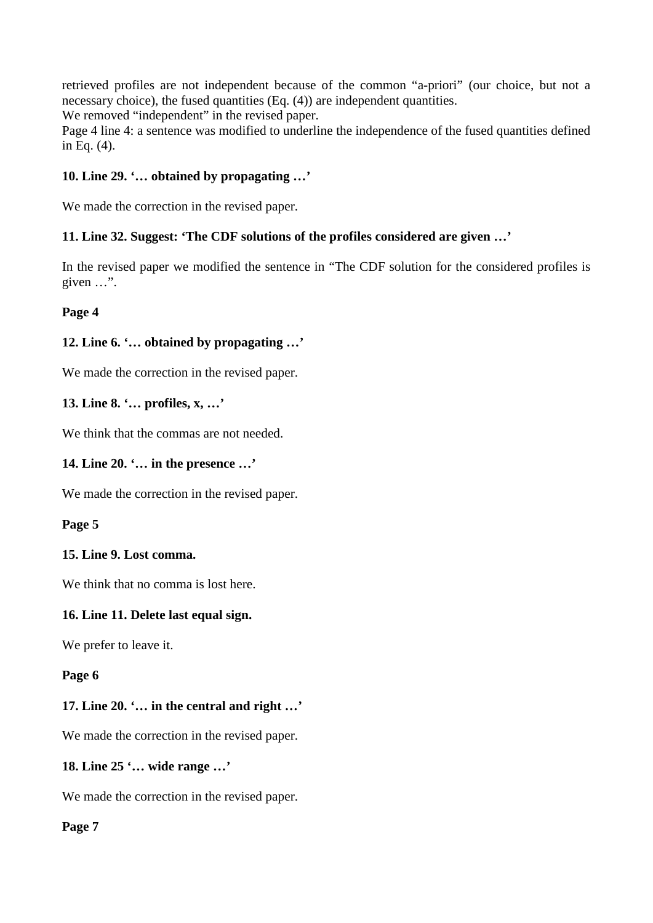retrieved profiles are not independent because of the common "a-priori" (our choice, but not a necessary choice), the fused quantities (Eq. (4)) are independent quantities.

We removed "independent" in the revised paper.

Page 4 line 4: a sentence was modified to underline the independence of the fused quantities defined in Eq. (4).

## **10. Line 29. '… obtained by propagating …'**

We made the correction in the revised paper.

#### **11. Line 32. Suggest: 'The CDF solutions of the profiles considered are given …'**

In the revised paper we modified the sentence in "The CDF solution for the considered profiles is given …".

**Page 4**

# **12. Line 6. '… obtained by propagating …'**

We made the correction in the revised paper.

#### **13. Line 8. '… profiles, x, …'**

We think that the commas are not needed.

#### **14. Line 20. '… in the presence …'**

We made the correction in the revised paper.

#### **Page 5**

#### **15. Line 9. Lost comma.**

We think that no comma is lost here.

#### **16. Line 11. Delete last equal sign.**

We prefer to leave it.

#### **Page 6**

#### **17. Line 20. '… in the central and right …'**

We made the correction in the revised paper.

#### **18. Line 25 '… wide range …'**

We made the correction in the revised paper.

**Page 7**